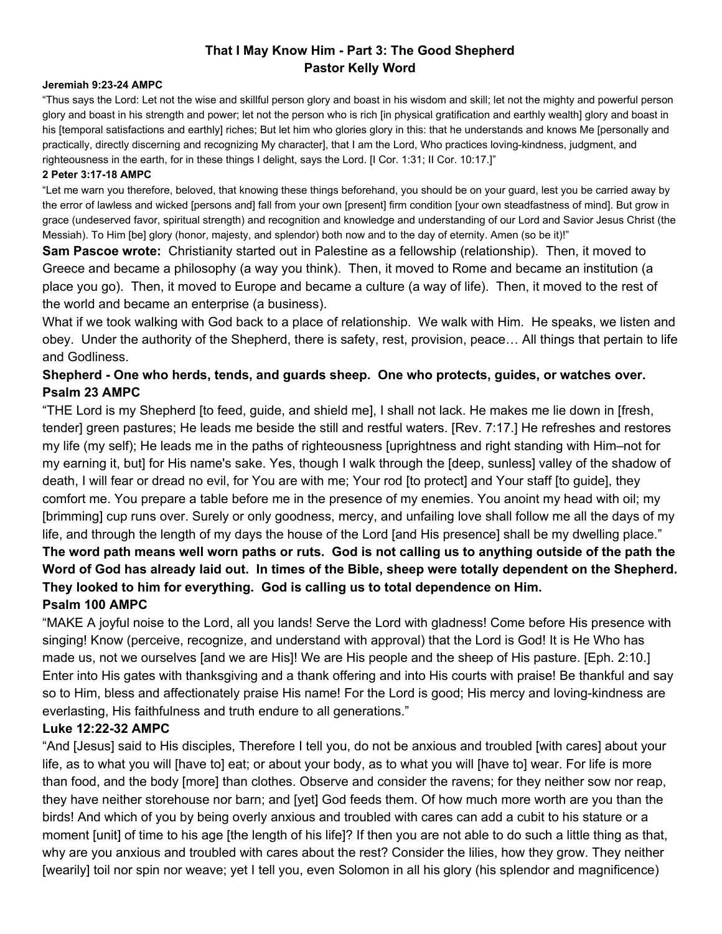# **That I May Know Him - Part 3: The Good Shepherd Pastor Kelly Word**

#### **Jeremiah 9:23-24 AMPC**

"Thus says the Lord: Let not the wise and skillful person glory and boast in his wisdom and skill; let not the mighty and powerful person glory and boast in his strength and power; let not the person who is rich [in physical gratification and earthly wealth] glory and boast in his [temporal satisfactions and earthly] riches; But let him who glories glory in this: that he understands and knows Me [personally and practically, directly discerning and recognizing My character], that I am the Lord, Who practices loving-kindness, judgment, and righteousness in the earth, for in these things I delight, says the Lord. [I Cor. 1:31; II Cor. 10:17.]"

#### **2 Peter 3:17-18 AMPC**

"Let me warn you therefore, beloved, that knowing these things beforehand, you should be on your guard, lest you be carried away by the error of lawless and wicked [persons and] fall from your own [present] firm condition [your own steadfastness of mind]. But grow in grace (undeserved favor, spiritual strength) and recognition and knowledge and understanding of our Lord and Savior Jesus Christ (the Messiah). To Him [be] glory (honor, majesty, and splendor) both now and to the day of eternity. Amen (so be it)!"

**Sam Pascoe wrote:** Christianity started out in Palestine as a fellowship (relationship). Then, it moved to Greece and became a philosophy (a way you think). Then, it moved to Rome and became an institution (a place you go). Then, it moved to Europe and became a culture (a way of life). Then, it moved to the rest of the world and became an enterprise (a business).

What if we took walking with God back to a place of relationship. We walk with Him. He speaks, we listen and obey. Under the authority of the Shepherd, there is safety, rest, provision, peace… All things that pertain to life and Godliness.

# **Shepherd - One who herds, tends, and guards sheep. One who protects, guides, or watches over. Psalm 23 AMPC**

"THE Lord is my Shepherd [to feed, guide, and shield me], I shall not lack. He makes me lie down in [fresh, tender] green pastures; He leads me beside the still and restful waters. [Rev. 7:17.] He refreshes and restores my life (my self); He leads me in the paths of righteousness [uprightness and right standing with Him–not for my earning it, but] for His name's sake. Yes, though I walk through the [deep, sunless] valley of the shadow of death, I will fear or dread no evil, for You are with me; Your rod [to protect] and Your staff [to guide], they comfort me. You prepare a table before me in the presence of my enemies. You anoint my head with oil; my [brimming] cup runs over. Surely or only goodness, mercy, and unfailing love shall follow me all the days of my life, and through the length of my days the house of the Lord [and His presence] shall be my dwelling place." The word path means well worn paths or ruts. God is not calling us to anything outside of the path the Word of God has already laid out. In times of the Bible, sheep were totally dependent on the Shepherd. **They looked to him for everything. God is calling us to total dependence on Him. Psalm 100 AMPC**

"MAKE A joyful noise to the Lord, all you lands! Serve the Lord with gladness! Come before His presence with singing! Know (perceive, recognize, and understand with approval) that the Lord is God! It is He Who has made us, not we ourselves [and we are His]! We are His people and the sheep of His pasture. [Eph. 2:10.] Enter into His gates with thanksgiving and a thank offering and into His courts with praise! Be thankful and say so to Him, bless and affectionately praise His name! For the Lord is good; His mercy and loving-kindness are everlasting, His faithfulness and truth endure to all generations."

#### **Luke 12:22-32 AMPC**

"And [Jesus] said to His disciples, Therefore I tell you, do not be anxious and troubled [with cares] about your life, as to what you will [have to] eat; or about your body, as to what you will [have to] wear. For life is more than food, and the body [more] than clothes. Observe and consider the ravens; for they neither sow nor reap, they have neither storehouse nor barn; and [yet] God feeds them. Of how much more worth are you than the birds! And which of you by being overly anxious and troubled with cares can add a cubit to his stature or a moment [unit] of time to his age [the length of his life]? If then you are not able to do such a little thing as that, why are you anxious and troubled with cares about the rest? Consider the lilies, how they grow. They neither [wearily] toil nor spin nor weave; yet I tell you, even Solomon in all his glory (his splendor and magnificence)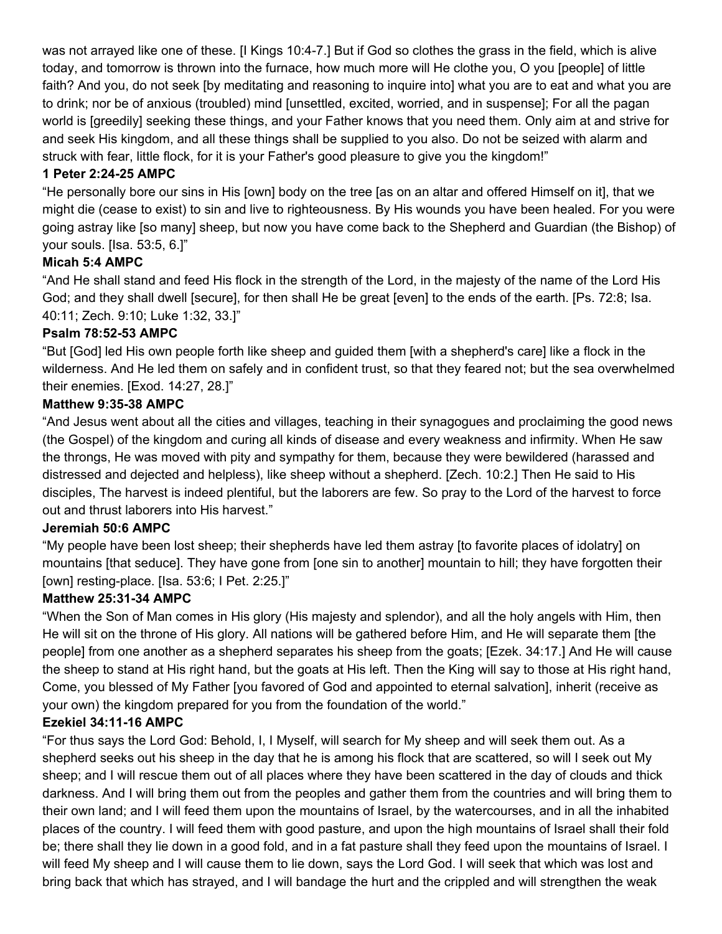was not arrayed like one of these. [I Kings 10:4-7.] But if God so clothes the grass in the field, which is alive today, and tomorrow is thrown into the furnace, how much more will He clothe you, O you [people] of little faith? And you, do not seek [by meditating and reasoning to inquire into] what you are to eat and what you are to drink; nor be of anxious (troubled) mind [unsettled, excited, worried, and in suspense]; For all the pagan world is [greedily] seeking these things, and your Father knows that you need them. Only aim at and strive for and seek His kingdom, and all these things shall be supplied to you also. Do not be seized with alarm and struck with fear, little flock, for it is your Father's good pleasure to give you the kingdom!"

# **1 Peter 2:24-25 AMPC**

"He personally bore our sins in His [own] body on the tree [as on an altar and offered Himself on it], that we might die (cease to exist) to sin and live to righteousness. By His wounds you have been healed. For you were going astray like [so many] sheep, but now you have come back to the Shepherd and Guardian (the Bishop) of your souls. [Isa. 53:5, 6.]"

# **Micah 5:4 AMPC**

"And He shall stand and feed His flock in the strength of the Lord, in the majesty of the name of the Lord His God; and they shall dwell [secure], for then shall He be great [even] to the ends of the earth. [Ps. 72:8; Isa. 40:11; Zech. 9:10; Luke 1:32, 33.]"

### **Psalm 78:52-53 AMPC**

"But [God] led His own people forth like sheep and guided them [with a shepherd's care] like a flock in the wilderness. And He led them on safely and in confident trust, so that they feared not; but the sea overwhelmed their enemies. [Exod. 14:27, 28.]"

### **Matthew 9:35-38 AMPC**

"And Jesus went about all the cities and villages, teaching in their synagogues and proclaiming the good news (the Gospel) of the kingdom and curing all kinds of disease and every weakness and infirmity. When He saw the throngs, He was moved with pity and sympathy for them, because they were bewildered (harassed and distressed and dejected and helpless), like sheep without a shepherd. [Zech. 10:2.] Then He said to His disciples, The harvest is indeed plentiful, but the laborers are few. So pray to the Lord of the harvest to force out and thrust laborers into His harvest."

# **Jeremiah 50:6 AMPC**

"My people have been lost sheep; their shepherds have led them astray [to favorite places of idolatry] on mountains [that seduce]. They have gone from [one sin to another] mountain to hill; they have forgotten their [own] resting-place. [Isa. 53:6; I Pet. 2:25.]"

#### **Matthew 25:31-34 AMPC**

"When the Son of Man comes in His glory (His majesty and splendor), and all the holy angels with Him, then He will sit on the throne of His glory. All nations will be gathered before Him, and He will separate them [the people] from one another as a shepherd separates his sheep from the goats; [Ezek. 34:17.] And He will cause the sheep to stand at His right hand, but the goats at His left. Then the King will say to those at His right hand, Come, you blessed of My Father [you favored of God and appointed to eternal salvation], inherit (receive as your own) the kingdom prepared for you from the foundation of the world."

#### **Ezekiel 34:11-16 AMPC**

"For thus says the Lord God: Behold, I, I Myself, will search for My sheep and will seek them out. As a shepherd seeks out his sheep in the day that he is among his flock that are scattered, so will I seek out My sheep; and I will rescue them out of all places where they have been scattered in the day of clouds and thick darkness. And I will bring them out from the peoples and gather them from the countries and will bring them to their own land; and I will feed them upon the mountains of Israel, by the watercourses, and in all the inhabited places of the country. I will feed them with good pasture, and upon the high mountains of Israel shall their fold be; there shall they lie down in a good fold, and in a fat pasture shall they feed upon the mountains of Israel. I will feed My sheep and I will cause them to lie down, says the Lord God. I will seek that which was lost and bring back that which has strayed, and I will bandage the hurt and the crippled and will strengthen the weak